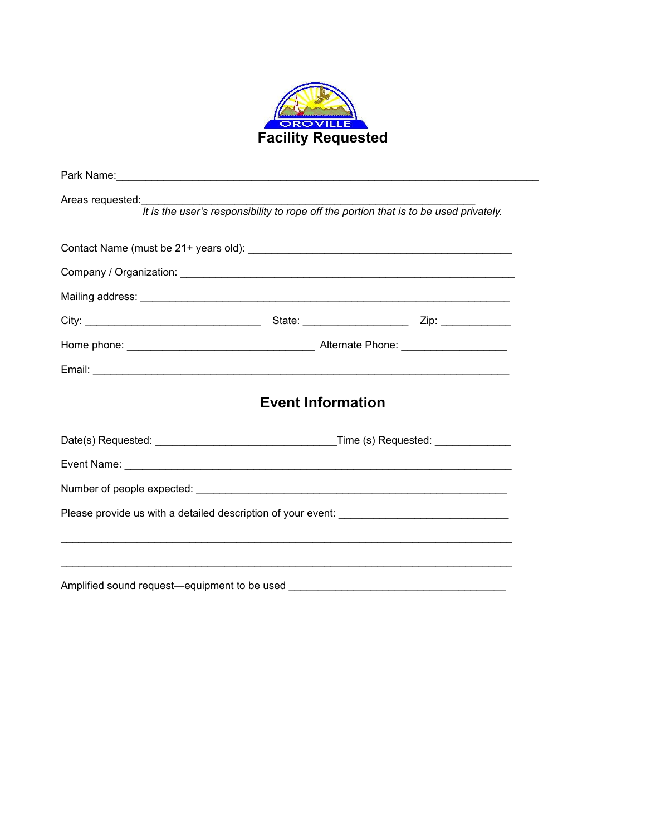

| Areas requested:<br>It is the user's responsibility to rope off the portion that is to be used privately. |                                                                                  |
|-----------------------------------------------------------------------------------------------------------|----------------------------------------------------------------------------------|
|                                                                                                           |                                                                                  |
|                                                                                                           |                                                                                  |
|                                                                                                           |                                                                                  |
|                                                                                                           |                                                                                  |
|                                                                                                           |                                                                                  |
|                                                                                                           |                                                                                  |
|                                                                                                           | <b>Event Information</b>                                                         |
|                                                                                                           |                                                                                  |
|                                                                                                           |                                                                                  |
|                                                                                                           |                                                                                  |
|                                                                                                           |                                                                                  |
|                                                                                                           |                                                                                  |
|                                                                                                           |                                                                                  |
|                                                                                                           | Amplified sound request-equipment to be used ___________________________________ |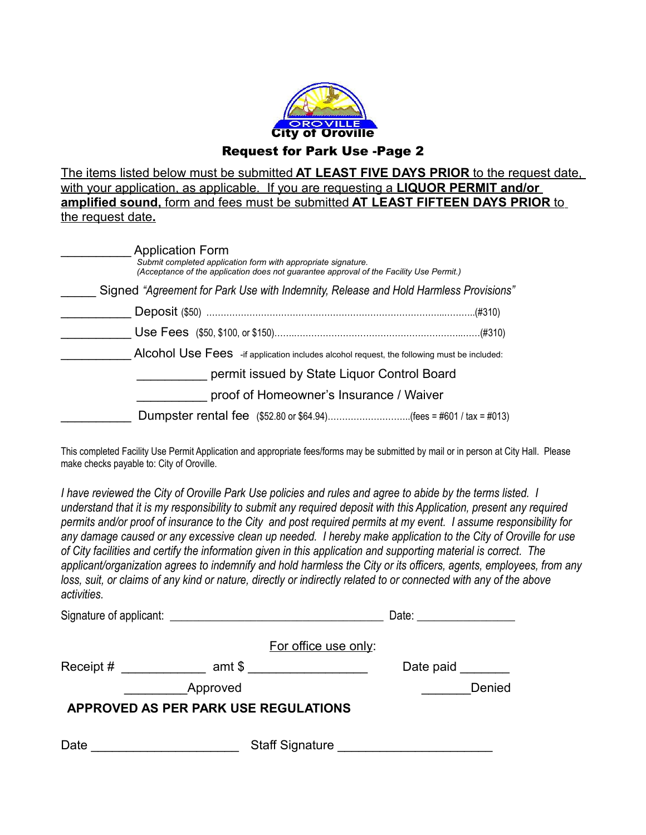

The items listed below must be submitted **AT LEAST FIVE DAYS PRIOR** to the request date, with your application, as applicable. If you are requesting a **LIQUOR PERMIT and/or amplified sound,** form and fees must be submitted **AT LEAST FIFTEEN DAYS PRIOR** to the request date**.**

| <b>Application Form</b><br>Submit completed application form with appropriate signature.<br>(Acceptance of the application does not quarantee approval of the Facility Use Permit.) |  |
|-------------------------------------------------------------------------------------------------------------------------------------------------------------------------------------|--|
| Signed "Agreement for Park Use with Indemnity, Release and Hold Harmless Provisions"                                                                                                |  |
|                                                                                                                                                                                     |  |
|                                                                                                                                                                                     |  |
| Alcohol Use Fees - if application includes alcohol request, the following must be included:                                                                                         |  |
| permit issued by State Liquor Control Board                                                                                                                                         |  |
| proof of Homeowner's Insurance / Waiver                                                                                                                                             |  |
| Dumpster rental fee (\$52.80 or \$64.94)(fees = #601 / tax = #013)                                                                                                                  |  |

This completed Facility Use Permit Application and appropriate fees/forms may be submitted by mail or in person at City Hall. Please make checks payable to: City of Oroville.

*I have reviewed the City of Oroville Park Use policies and rules and agree to abide by the terms listed. I understand that it is my responsibility to submit any required deposit with this Application, present any required permits and/or proof of insurance to the City and post required permits at my event. I assume responsibility for any damage caused or any excessive clean up needed. I hereby make application to the City of Oroville for use of City facilities and certify the information given in this application and supporting material is correct. The applicant/organization agrees to indemnify and hold harmless the City or its officers, agents, employees, from any loss, suit, or claims of any kind or nature, directly or indirectly related to or connected with any of the above activities.*

| Signature of applicant: Signature of applicant: |          |                                                                                                                                                                                                                                     | Date: <u>___________________</u> |        |  |
|-------------------------------------------------|----------|-------------------------------------------------------------------------------------------------------------------------------------------------------------------------------------------------------------------------------------|----------------------------------|--------|--|
|                                                 |          | For office use only:                                                                                                                                                                                                                |                                  |        |  |
| Receipt #                                       |          | amt \$ __________________                                                                                                                                                                                                           | Date paid                        |        |  |
|                                                 | Approved |                                                                                                                                                                                                                                     |                                  | Denied |  |
| APPROVED AS PER PARK USE REGULATIONS            |          |                                                                                                                                                                                                                                     |                                  |        |  |
| Date                                            |          | Staff Signature <u>Staff</u> Signature Staff Signature Staff Signature Staff Signature Staff Staff Staff Staff Staff Staff Staff Staff Staff Staff Staff Staff Staff Staff Staff Staff Staff Staff Staff Staff Staff Staff Staff St |                                  |        |  |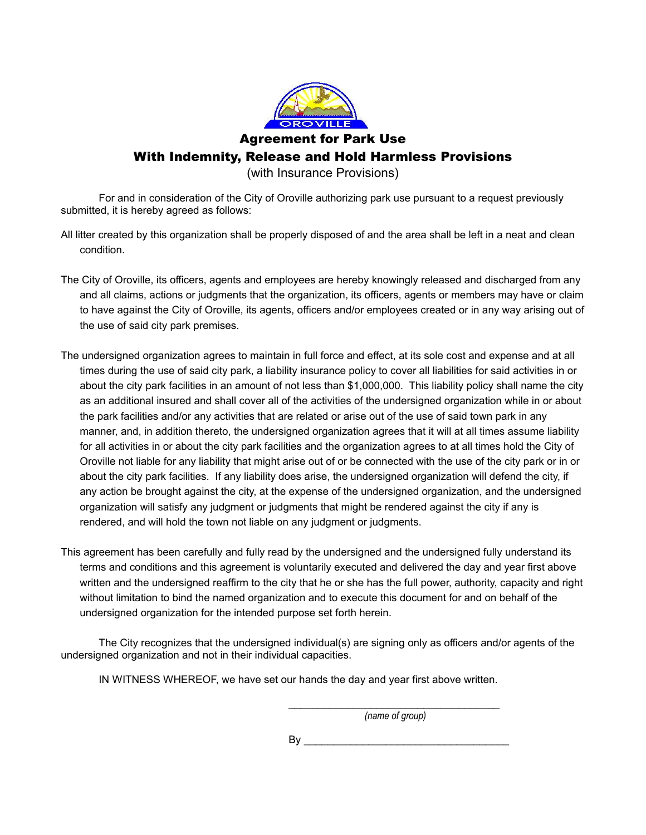

Agreement for Park Use

With Indemnity, Release and Hold Harmless Provisions

(with Insurance Provisions)

For and in consideration of the City of Oroville authorizing park use pursuant to a request previously submitted, it is hereby agreed as follows:

All litter created by this organization shall be properly disposed of and the area shall be left in a neat and clean condition.

- The City of Oroville, its officers, agents and employees are hereby knowingly released and discharged from any and all claims, actions or judgments that the organization, its officers, agents or members may have or claim to have against the City of Oroville, its agents, officers and/or employees created or in any way arising out of the use of said city park premises.
- The undersigned organization agrees to maintain in full force and effect, at its sole cost and expense and at all times during the use of said city park, a liability insurance policy to cover all liabilities for said activities in or about the city park facilities in an amount of not less than \$1,000,000. This liability policy shall name the city as an additional insured and shall cover all of the activities of the undersigned organization while in or about the park facilities and/or any activities that are related or arise out of the use of said town park in any manner, and, in addition thereto, the undersigned organization agrees that it will at all times assume liability for all activities in or about the city park facilities and the organization agrees to at all times hold the City of Oroville not liable for any liability that might arise out of or be connected with the use of the city park or in or about the city park facilities. If any liability does arise, the undersigned organization will defend the city, if any action be brought against the city, at the expense of the undersigned organization, and the undersigned organization will satisfy any judgment or judgments that might be rendered against the city if any is rendered, and will hold the town not liable on any judgment or judgments.
- This agreement has been carefully and fully read by the undersigned and the undersigned fully understand its terms and conditions and this agreement is voluntarily executed and delivered the day and year first above written and the undersigned reaffirm to the city that he or she has the full power, authority, capacity and right without limitation to bind the named organization and to execute this document for and on behalf of the undersigned organization for the intended purpose set forth herein.

The City recognizes that the undersigned individual(s) are signing only as officers and/or agents of the undersigned organization and not in their individual capacities.

IN WITNESS WHEREOF, we have set our hands the day and year first above written.

\_\_\_\_\_\_\_\_\_\_\_\_\_\_\_\_\_\_\_\_\_\_\_\_\_\_\_\_\_\_\_\_\_\_\_\_ *(name of group)*

 $\mathsf{By}$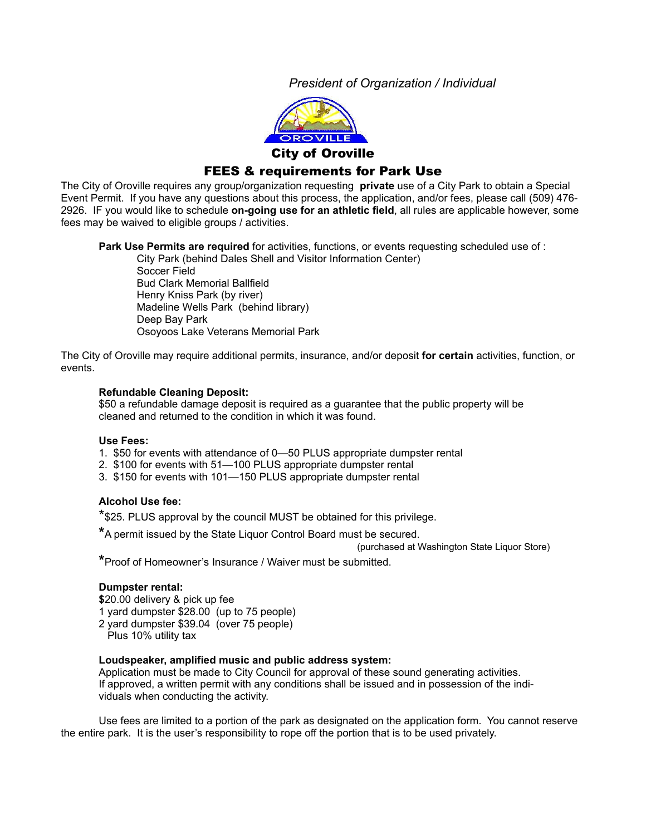*President of Organization / Individual*



## FEES & requirements for Park Use

The City of Oroville requires any group/organization requesting **private** use of a City Park to obtain a Special Event Permit. If you have any questions about this process, the application, and/or fees, please call (509) 476- 2926. IF you would like to schedule **on-going use for an athletic field**, all rules are applicable however, some fees may be waived to eligible groups / activities.

**Park Use Permits are required** for activities, functions, or events requesting scheduled use of :

City Park (behind Dales Shell and Visitor Information Center) Soccer Field Bud Clark Memorial Ballfield Henry Kniss Park (by river) Madeline Wells Park (behind library) Deep Bay Park Osoyoos Lake Veterans Memorial Park

The City of Oroville may require additional permits, insurance, and/or deposit **for certain** activities, function, or events.

### **Refundable Cleaning Deposit:**

\$50 a refundable damage deposit is required as a guarantee that the public property will be cleaned and returned to the condition in which it was found.

### **Use Fees:**

- 1. \$50 for events with attendance of 0—50 PLUS appropriate dumpster rental
- 2. \$100 for events with 51—100 PLUS appropriate dumpster rental
- 3. \$150 for events with 101—150 PLUS appropriate dumpster rental

### **Alcohol Use fee:**

\*\$25. PLUS approval by the council MUST be obtained for this privilege.

**\***A permit issued by the State Liquor Control Board must be secured.

(purchased at Washington State Liquor Store)

**\***Proof of Homeowner's Insurance / Waiver must be submitted.

### **Dumpster rental:**

**\$**20.00 delivery & pick up fee 1 yard dumpster \$28.00 (up to 75 people) 2 yard dumpster \$39.04 (over 75 people) Plus 10% utility tax

### **Loudspeaker, amplified music and public address system:**

Application must be made to City Council for approval of these sound generating activities. If approved, a written permit with any conditions shall be issued and in possession of the individuals when conducting the activity.

Use fees are limited to a portion of the park as designated on the application form. You cannot reserve the entire park. It is the user's responsibility to rope off the portion that is to be used privately.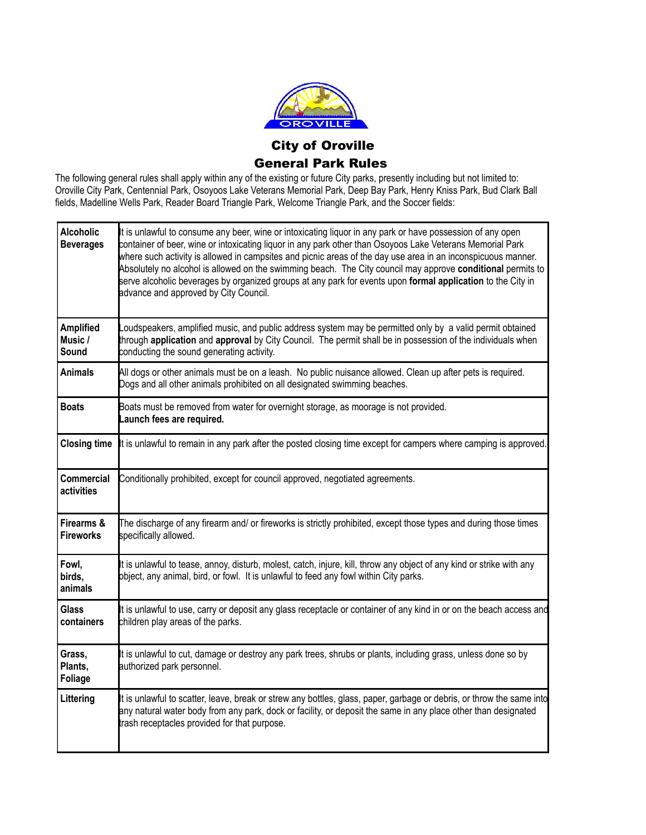

# City of Oroville General Park Rules

The following general rules shall apply within any of the existing or future City parks, presently including but not limited to: Oroville City Park, Centennial Park, Osoyoos Lake Veterans Memorial Park, Deep Bay Park, Henry Kniss Park, Bud Clark Ball fields, Madelline Wells Park, Reader Board Triangle Park, Welcome Triangle Park, and the Soccer fields:

| <b>Alcoholic</b><br><b>Beverages</b> | It is unlawful to consume any beer, wine or intoxicating liquor in any park or have possession of any open<br>container of beer, wine or intoxicating liquor in any park other than Osoyoos Lake Veterans Memorial Park<br>where such activity is allowed in campsites and picnic areas of the day use area in an inconspicuous manner.<br>Absolutely no alcohol is allowed on the swimming beach. The City council may approve conditional permits to<br>serve alcoholic beverages by organized groups at any park for events upon formal application to the City in<br>advance and approved by City Council. |
|--------------------------------------|----------------------------------------------------------------------------------------------------------------------------------------------------------------------------------------------------------------------------------------------------------------------------------------------------------------------------------------------------------------------------------------------------------------------------------------------------------------------------------------------------------------------------------------------------------------------------------------------------------------|
| <b>Amplified</b><br>Music /<br>Sound | oudspeakers, amplified music, and public address system may be permitted only by a valid permit obtained.<br>through application and approval by City Council. The permit shall be in possession of the individuals when<br>conducting the sound generating activity.                                                                                                                                                                                                                                                                                                                                          |
| <b>Animals</b>                       | All dogs or other animals must be on a leash. No public nuisance allowed. Clean up after pets is required.<br>Dogs and all other animals prohibited on all designated swimming beaches.                                                                                                                                                                                                                                                                                                                                                                                                                        |
| <b>Boats</b>                         | Boats must be removed from water for overnight storage, as moorage is not provided.<br>Launch fees are required.                                                                                                                                                                                                                                                                                                                                                                                                                                                                                               |
| <b>Closing time</b>                  | It is unlawful to remain in any park after the posted closing time except for campers where camping is approved.                                                                                                                                                                                                                                                                                                                                                                                                                                                                                               |
| Commercial<br>activities             | Conditionally prohibited, except for council approved, negotiated agreements.                                                                                                                                                                                                                                                                                                                                                                                                                                                                                                                                  |
| Firearms &<br><b>Fireworks</b>       | The discharge of any firearm and/ or fireworks is strictly prohibited, except those types and during those times<br>specifically allowed.                                                                                                                                                                                                                                                                                                                                                                                                                                                                      |
| Fowl,<br>birds,<br>animals           | It is unlawful to tease, annoy, disturb, molest, catch, injure, kill, throw any object of any kind or strike with any<br>object, any animal, bird, or fowl. It is unlawful to feed any fowl within City parks.                                                                                                                                                                                                                                                                                                                                                                                                 |
| <b>Glass</b><br>containers           | It is unlawful to use, carry or deposit any glass receptacle or container of any kind in or on the beach access and<br>children play areas of the parks.                                                                                                                                                                                                                                                                                                                                                                                                                                                       |
| Grass,<br>Plants,<br><b>Foliage</b>  | It is unlawful to cut, damage or destroy any park trees, shrubs or plants, including grass, unless done so by<br>authorized park personnel.                                                                                                                                                                                                                                                                                                                                                                                                                                                                    |
| Littering                            | It is unlawful to scatter, leave, break or strew any bottles, glass, paper, garbage or debris, or throw the same into<br>any natural water body from any park, dock or facility, or deposit the same in any place other than designated<br>trash receptacles provided for that purpose.                                                                                                                                                                                                                                                                                                                        |